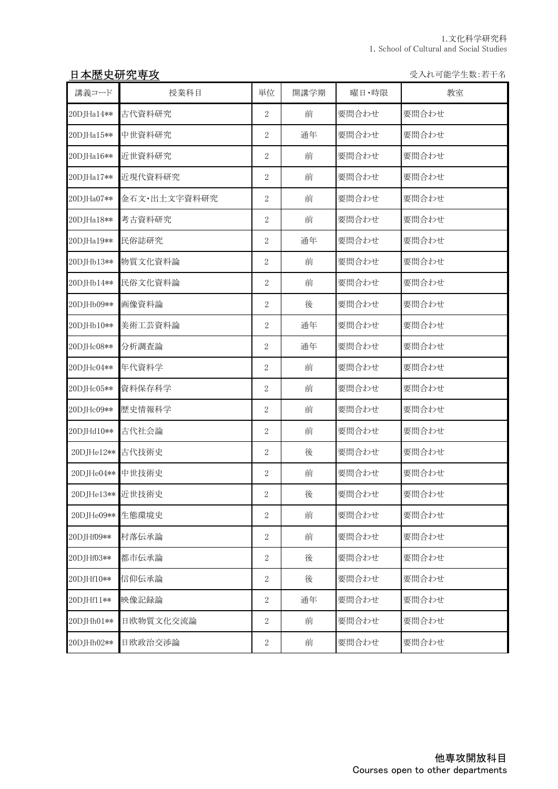# 日本歴史研究専攻 マインスタイム マインスタイム しゅうしゃ ライル可能学生数:若干名

| 講義コード            | 授業科目         | 単位               | 開講学期 | 曜日·時限 | 教室    |
|------------------|--------------|------------------|------|-------|-------|
| 20DJHa14**       | 古代資料研究       | $\overline{2}$   | 前    | 要問合わせ | 要問合わせ |
| 20DJHa15**       | 中世資料研究       | $\overline{2}$   | 通年   | 要問合わせ | 要問合わせ |
| 20DJHa16**       | 近世資料研究       | $\overline{2}$   | 前    | 要問合わせ | 要問合わせ |
| 20DJHa17**       | 近現代資料研究      | $\boldsymbol{2}$ | 前    | 要問合わせ | 要問合わせ |
| 20DJHa07**       | 金石文·出土文字資料研究 | $\sqrt{2}$       | 前    | 要問合わせ | 要問合わせ |
| 20DJHa18**       | 考古資料研究       | $\sqrt{2}$       | 前    | 要問合わせ | 要問合わせ |
| 20DJHa19**       | 民俗誌研究        | 2                | 通年   | 要問合わせ | 要問合わせ |
| 20DJHb13**       | 物質文化資料論      | 2                | 前    | 要問合わせ | 要問合わせ |
| 20DJHb14**       | 民俗文化資料論      | $\overline{2}$   | 前    | 要問合わせ | 要問合わせ |
| 20DJHb09**       | 画像資料論        | $\overline{2}$   | 後    | 要問合わせ | 要問合わせ |
| 20DJHb10**       | 美術工芸資料論      | $\overline{2}$   | 通年   | 要問合わせ | 要問合わせ |
| 20DJHc08**       | 分析調査論        | $\overline{2}$   | 通年   | 要問合わせ | 要問合わせ |
| 20DJHc04**       | 年代資料学        | 2                | 前    | 要問合わせ | 要問合わせ |
| 20DJHc05**       | 資料保存科学       | 2                | 前    | 要問合わせ | 要問合わせ |
| 20DJHc09**       | 歴史情報科学       | 2                | 前    | 要問合わせ | 要問合わせ |
| 20DJHd10**       | 古代社会論        | $\overline{2}$   | 前    | 要問合わせ | 要問合わせ |
| 20DJHe12**       | 古代技術史        | $\boldsymbol{2}$ | 後    | 要問合わせ | 要問合わせ |
| 20DJHe04**       | 中世技術史        | $\boldsymbol{2}$ | 前    | 要問合わせ | 要問合わせ |
| 20DJHe13** 近世技術史 |              | $\sqrt{2}$       | 後    | 要問合わせ | 要問合わせ |
| 20DJHe09**       | 生態環境史        | 2                | 前    | 要問合わせ | 要問合わせ |
| 20DJHf09**       | 村落伝承論        | $\sqrt{2}$       | 前    | 要問合わせ | 要問合わせ |
| 20DJHf03**       | 都市伝承論        | $\sqrt{2}$       | 後    | 要問合わせ | 要問合わせ |
| 20DJHf10**       | 信仰伝承論        | $\sqrt{2}$       | 後    | 要問合わせ | 要問合わせ |
| 20DJHf11**       | 映像記録論        | $\sqrt{2}$       | 通年   | 要問合わせ | 要問合わせ |
| 20DJHh01**       | 日欧物質文化交流論    | $\,2$            | 前    | 要問合わせ | 要問合わせ |
| 20DJHh02**       | 日欧政治交涉論      | $\,2$            | 前    | 要問合わせ | 要問合わせ |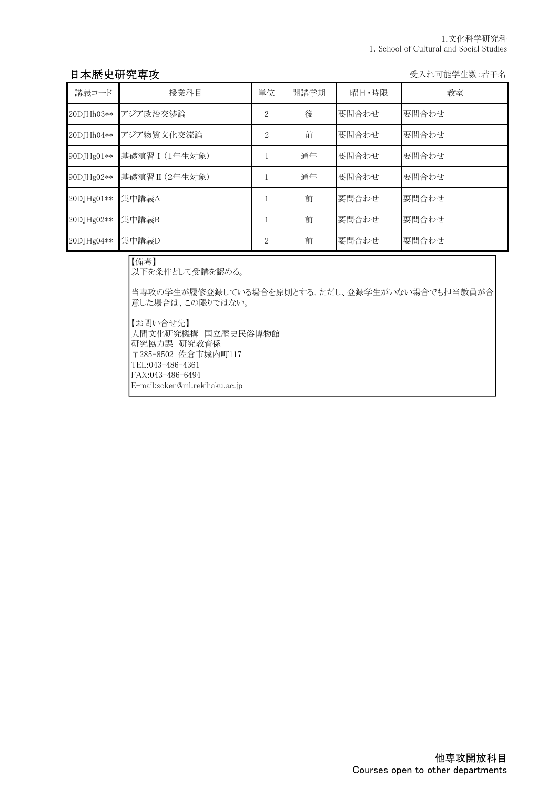## 日本歴史研究専攻 マインスタイム マイン アイスト おおところ かいしょう かいじょう 受入れ可能学生数:若干名

| 講義コード      | 授業科目            | 単位             | 開講学期 | 曜日・時限 | 教室    |
|------------|-----------------|----------------|------|-------|-------|
| 20DJHh03** | アジア政治交渉論        | 2              | 後    | 要問合わせ | 要問合わせ |
| 20DJHh04** | アジア物質文化交流論      | $\overline{2}$ | 前    | 要問合わせ | 要問合わせ |
| 90DJHg01** | 基礎演習 I (1年生対象)  |                | 通年   | 要問合わせ | 要問合わせ |
| 90DJHg02** | 基礎演習 II (2年生対象) |                | 通年   | 要問合わせ | 要問合わせ |
| 20DJHg01** | 集中講義A           |                | 前    | 要問合わせ | 要問合わせ |
| 20DJHg02** | 集中講義B           |                | 前    | 要問合わせ | 要問合わせ |
| 20DJHg04** | 集中講義D           | $\overline{2}$ | 前    | 要問合わせ | 要問合わせ |

【備考】

以下を条件として受講を認める。

当専攻の学生が履修登録している場合を原則とする。ただし、登録学生がいない場合でも担当教員が合 意した場合は、この限りではない。

【お問い合せ先】 人間文化研究機構 国立歴史民俗博物館 研究協力課 研究教育係 〒285-8502 佐倉市城内町117 TEL:043-486-4361 FAX:043-486-6494 E-mail:soken@ml.rekihaku.ac.jp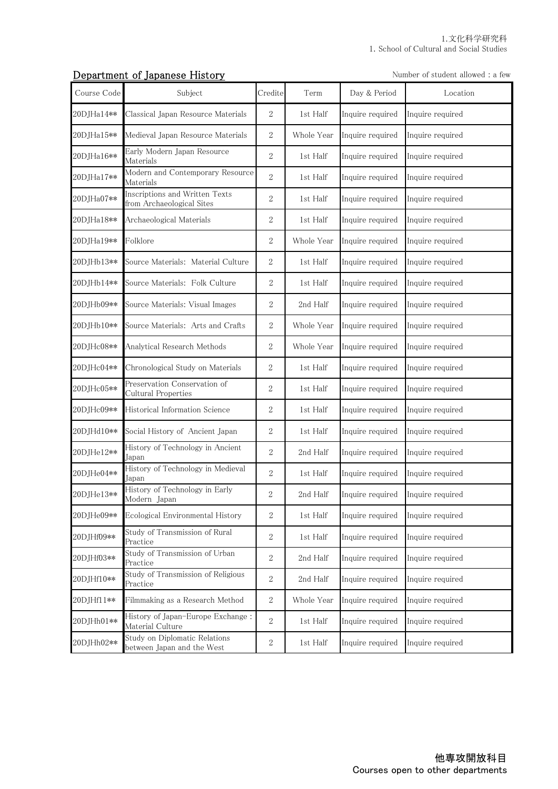#### **Department of Japanese History** Number of student allowed : a few

| Course Code | Subject                                                     | Credite          | Term       | Day & Period     | Location         |
|-------------|-------------------------------------------------------------|------------------|------------|------------------|------------------|
| 20DJHa14**  | Classical Japan Resource Materials                          | $\overline{2}$   | 1st Half   | Inquire required | Inquire required |
| 20DJHa15**  | Medieval Japan Resource Materials                           | $\boldsymbol{2}$ | Whole Year | Inquire required | Inquire required |
| 20DJHa16**  | Early Modern Japan Resource<br>Materials                    | $\boldsymbol{2}$ | 1st Half   | Inquire required | Inquire required |
| 20DJHa17**  | Modern and Contemporary Resource<br>Materials               | $\overline{2}$   | 1st Half   | Inquire required | Inquire required |
| 20DJHa07**  | Inscriptions and Written Texts<br>from Archaeological Sites | $\overline{2}$   | 1st Half   | Inquire required | Inquire required |
| 20DJHa18**  | Archaeological Materials                                    | $\sqrt{2}$       | 1st Half   | Inquire required | Inquire required |
| 20DJHa19**  | Folklore                                                    | $\boldsymbol{2}$ | Whole Year | Inquire required | Inquire required |
| 20DJHb13**  | Source Materials: Material Culture                          | $\sqrt{2}$       | 1st Half   | Inquire required | Inquire required |
| 20DJHb14**  | Source Materials: Folk Culture                              | $\boldsymbol{2}$ | 1st Half   | Inquire required | Inquire required |
| 20DJHb09**  | Source Materials: Visual Images                             | $\boldsymbol{2}$ | 2nd Half   | Inquire required | Inquire required |
| 20DJHb10**  | Source Materials: Arts and Crafts                           | $\boldsymbol{2}$ | Whole Year | Inquire required | Inquire required |
| 20DJHc08**  | Analytical Research Methods                                 | $\sqrt{2}$       | Whole Year | Inquire required | Inquire required |
| 20DJHc04**  | Chronological Study on Materials                            | $\boldsymbol{2}$ | 1st Half   | Inquire required | Inquire required |
| 20DJHc05**  | Preservation Conservation of<br>Cultural Properties         | $\boldsymbol{2}$ | 1st Half   | Inquire required | Inquire required |
| 20DJHc09**  | Historical Information Science                              | $\sqrt{2}$       | 1st Half   | Inquire required | Inquire required |
| 20DJHd10**  | Social History of Ancient Japan                             | $\overline{2}$   | 1st Half   | Inquire required | Inquire required |
| 20DJHe12**  | History of Technology in Ancient<br>Japan                   | $\boldsymbol{2}$ | 2nd Half   | Inquire required | Inquire required |
| 20DJHe04**  | History of Technology in Medieval<br>Japan                  | $\boldsymbol{2}$ | 1st Half   | Inquire required | Inquire required |
| 20DJHe13**  | History of Technology in Early<br>Modern Japan              | $\overline{2}$   | 2nd Half   | Inquire required | Inquire required |
| 20DJHe09**  | Ecological Environmental History                            | 2                | 1st Half   | Inquire required | Inquire required |
| 20DJHf09**  | Study of Transmission of Rural<br>Practice                  | $\boldsymbol{2}$ | 1st Half   | Inquire required | Inquire required |
| 20DJHf03**  | Study of Transmission of Urban<br>Practice                  | $\boldsymbol{2}$ | 2nd Half   | Inquire required | Inquire required |
| 20DJHf10**  | Study of Transmission of Religious<br>Practice              | $\sqrt{2}$       | 2nd Half   | Inquire required | Inquire required |
| 20DJHf11**  | Filmmaking as a Research Method                             | $\sqrt{2}$       | Whole Year | Inquire required | Inquire required |
| 20DJHh01**  | History of Japan-Europe Exchange:<br>Material Culture       | $\sqrt{2}$       | 1st Half   | Inquire required | Inquire required |
| 20DJHh02**  | Study on Diplomatic Relations<br>between Japan and the West | $\,2$            | 1st Half   | Inquire required | Inquire required |